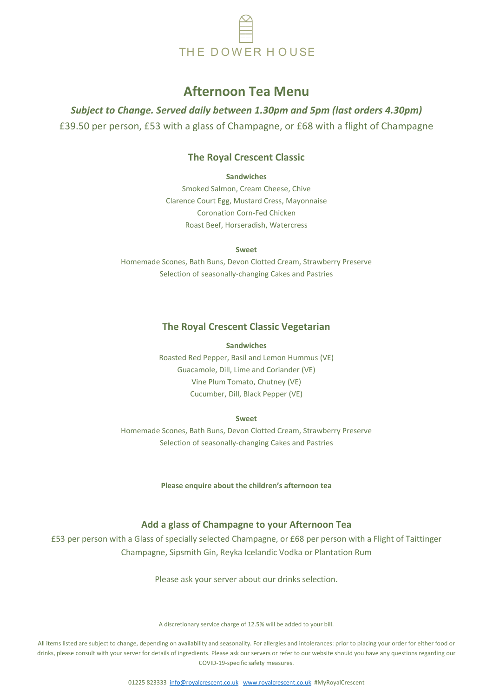

# **Afternoon Tea Menu**

*Subject to Change. Served daily between 1.30pm and 5pm (last orders 4.30pm)* £39.50 per person, £53 with a glass of Champagne, or £68 with a flight of Champagne

# **The Royal Crescent Classic**

**Sandwiches**

Smoked Salmon, Cream Cheese, Chive Clarence Court Egg, Mustard Cress, Mayonnaise Coronation Corn-Fed Chicken Roast Beef, Horseradish, Watercress

**Sweet**

Homemade Scones, Bath Buns, Devon Clotted Cream, Strawberry Preserve Selection of seasonally-changing Cakes and Pastries

## **The Royal Crescent Classic Vegetarian**

#### **Sandwiches**

THE DOWER HOUSE<br> **Afternoon Tea Menu**<br> **On, £53** with a glass of Champagne, or £68 with a flight<br>
The Royal Crescent Classic<br>
Simulated Cress, Nayomaise<br>
Simulated Cress, Mayomaise<br>
Simulated Cress, Mayomaise<br>
Clarence Co Roasted Red Pepper, Basil and Lemon Hummus (VE) Guacamole, Dill, Lime and Coriander (VE) Vine Plum Tomato, Chutney (VE) Cucumber, Dill, Black Pepper (VE)

#### **Sweet**

Homemade Scones, Bath Buns, Devon Clotted Cream, Strawberry Preserve Selection of seasonally-changing Cakes and Pastries

**Please enquire about the children's afternoon tea**

## **Add a glass of Champagne to your Afternoon Tea**

£53 per person with a Glass of specially selected Champagne, or £68 per person with a Flight of Taittinger Champagne, Sipsmith Gin, Reyka Icelandic Vodka or Plantation Rum

Please ask your server about our drinks selection.

A discretionary service charge of 12.5% will be added to your bill.

All items listed are subject to change, depending on availability and seasonality. For allergies and intolerances: prior to placing your order for either food or drinks, please consult with your server for details of ingredients. Please ask our servers or refer to our website should you have any questions regarding our COVID-19-specific safety measures.